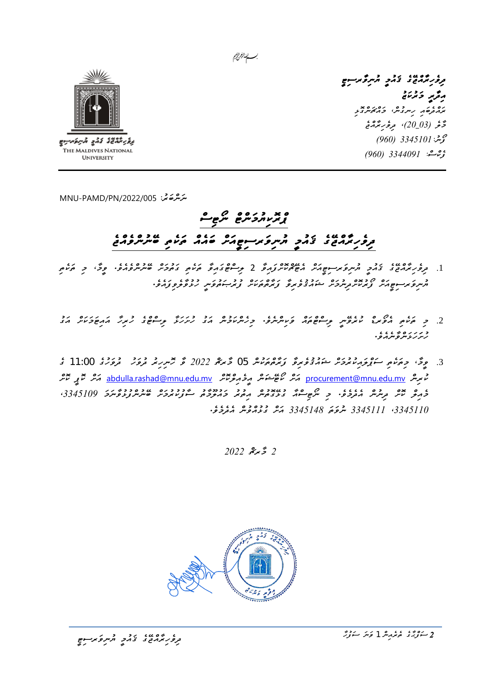



*ދިވެހިރާއްޖޭގެ ޤައުމީ ޔުނިވާރސިޓީ އިދާރީ މަރުކަޒު ރައްދެބައި ހިނގުނ،ް މައްޗަންގޮޅި މާލެ )03*\_ *20(، ދިވެހިރާއްޖެ ފޯނ3345101:ު )960( ފެކްސ:ް 3344091 )960(* 

*ﯩﻤ*َﺮَﻫُﻣُﻦ 45,005/MNU-PAMD/PN

## *ޕްރޮކިޔުމަންޓް ނޯޓިސް ދިވެހިރާއްޖޭގެ ޤައުމީ ޔުނިވަރސިޓީއަށް ބައެއް ތަކެތި ބޭނުންވެއްޖެ*

- .1 *ދިވެހިރާއްޖޭގެ ޤައުމީ ޔުނިވަރސިޓީއަށް އެޓޭޗްކޮށްފައިވާ* 2 *ލިސްޓްގައިވާ ތަކެތި ގަތުމަށް ބޭނުންވެއެވ.ެ ވީމ،ާ މި ތަކެތި*  ح در دوم محمد حدد دوم محمد محمد محمد محمد دوم دوم، مدد دوم<br>الرابع توسيع محمد توجر سربع الرحمن المحمد المحمد المحمد المحمد المحمد المحمد المحمد المحمد المحمد المحمد المحمد
- <u>.</u><br>2 محمد موسى موسى المروس وسوج محمد كويسرسرك ورسون حرير مركز المرحوض المركز من محمد مدى مدى مدى المركز من المركز *ހުށަހަޅަންވާނެއެވ.ެ*
- .3 *ވީމ،ާ މިތަކެތި ސަޕްލައިކުރުމަށް ޝައުޤުވެރިވާ ފަރާތްތަކުން* 05 *މާރޗް 2022 ވާ ހޮނިހިރު ދުވަހު ދުވަހުގެ* 11:00 *ގެ*  تَّمَ <del>بِرِسَ</del> <u>abdulla.rashad@mnu.edu.mv كَمْ مِنْ حَمَدَ حَمَّدٍ حَمَّدَ مِنْ مَسْتَرَّةٍ مِنْ مَسْتَرَّةٍ مِنْ مَسَ</u> *މެއިލް ކޮށް ދިނުން އެދެމެވ.ެ މި ނޯޓިސްއާ ގުޅޭގޮތުން އިތުރު މައުލޫމާތު ސާފުކުރުމަށް ބޭނުންފުޅުވާނަމަ ،3345109 ،3345110 3345111 ނުވަތަ 3345148 އަށް ގުޅުއްވުން އެދެމެވ.ެ*

*2 މާރޗް 2022*



<del>، عبد عبد المعدد و</del><br>تر*ور برم*نځ *ی نخم*ر المبروکر سوچ

*2 ސަފްޙާގެ ތެރެއިން* 1 *ވަނަ ސަފުހާ*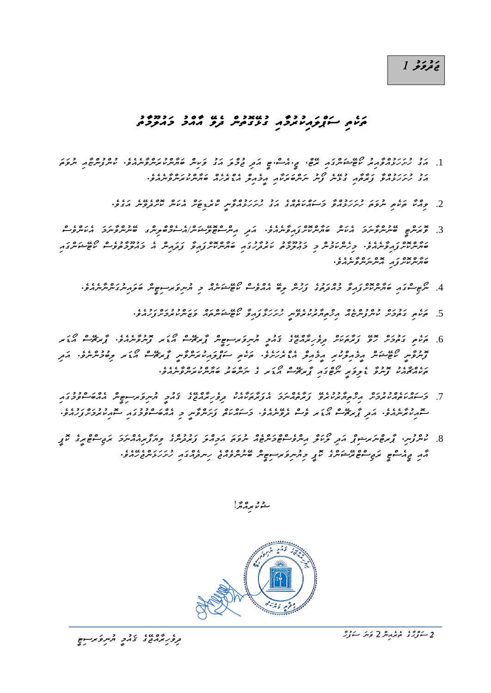## ر د ر د<br>**ق**ءو *و د*

## *ތަކެތި ސަޕްލައިކުރު މާއި ގުޅޭ ގޮތުން ދެވޭ އާއްމު މައުލޫމާތު*

- .1 *އަގު ހުށަހަޅުއްވާއިރު ކޯޓޭޝަންގައި ރޭޓ،ް ޖ.ީއެސ.ްޓީ އަދި ޖުމްލަ އަގު ވަކިން ބަޔާންކުރަންވާނެއެވ.ެ ކުންފުންޏާއި ނުވަތަ އަގު ހުށަހަޅުއްވާ ފަރާތާއި ގުޅޭނެ ފޯނު ނަންބަރަކާއި އީމެއިލް އެޑްރެހެއް ބަޔާންކުރަންވާނެއެވ.ެ* 
	- <u>.</u><br>2 محمد عرض المرحوض رادر دور در العدد المرحوض المرحوض المرحوض المرحوض المرحوض المرحوض المرحوض المرحوض المرحوض ا
- .3 *ވޮރަންޓީ ބޭނުންވާނަމަ އެކަން ބަޔާންކޮށްފައިވާނެއެވ.ެ އަދި އިންސްޓޮލޭޝަނ/ްއެސެމްބްލިންގ ބޭނުންވާނަމަ އެކަންވެސް ބަޔާންކޮށްފައިވާނެއެވ.ެ މިހެންކަމުން މި މަޢުލޫމާތު ކަރުދާހުގައި ބަޔާންކޮށްފައިވާ ފަދައިން އެ މައުލޫމާތުވެސް ކޯޓޭޝަންގައި ބަޔާންކޮށްފައި އޮންނަންވާނެއެވ.ެ* 
	- .4 *ނޯޓިސްގައި ބަޔާންކޮށްފައިވާ މުއްދަތުގެ ފަހުން ލިބޭ އެއްވެސް ކޯޓޭޝަނެއް މި ޔުނިވަރސިޓީން ބަލައިނުގަންނާނެއެވ.ެ* 
		- .5 *ތަކެތި ގަތުމަށް ކުންފުންޏެއް އިޚްތިޔާރުކުރެވޭނީ ހުށަހަޅާފައިވާ ކޯޓޭޝަންތައް ވަޒަންކުރުމަށްފަހުއެވ.ެ*
- .<br>6 موسم *قومو دو زیرموس و وربرم*ی نامون دو مسرو بر موسم گریم می دروی در از موسر می در می کند *ފޮނުވާނީ ކޯޓޭޝަން އީމެއިލްކުރި އީމެއިލް އެޑްރެހަށެވ.ެ ތަކެތި ސަޕްލައިކުރަންވާނީ ޕާރޗޭސް އޯޑަރ ލިބުމުންނެވ.ެ އަދި ތަކެއްޗާއެކު ފޮނުވާ ޑެލިވަރީ ނޯޓްގައި ޕާރޗޭސް އޯޑަރ ގެ ނަންބަރު ބަޔާންކުރަންވާނެއެވ.ެ*
- .7 *މަސައްކަތެއްކުރުމަށް އިޚްތިޔާރުކުރެވޭ ފަރާތެއްނަމަ އެފަރާތަކާއެކު ދިވެހިރާއްޖޭގެ ޤައުމީ ޔުނިވަރސިޓީން އެއްބަސްވުމުގައި*  <del></sub>ح د د ۱۶۶۶ مرد ع کان د کان د ۱۶۶۵ مرد ۱۶۶۵ مرد ۲۵۶۵ مرد ۲۵۶۵ مرد ۲۵۶۵ مرد ۲۵۶۵ مرد ۲۵۶۵ مرد ۱۶۵۶ مرد ۱۶۵۶ مرد ۱۶۵۶<br>سوم در ۱۶۷۶ مرد توسط میکن و سو ترومبرمرو و سوم در ترمبرو د مرمض د در سوم در ۲۵۰۶ مرد ۱۶۵۶</del>
- .8 *ކުންފުނ،ި ޕާރޓްނަރޝިޕް އަދި ލޯކަލް އިންވެސްޓްމަންޓެއް ނުވަތަ އަމިއްލަ ފަރުދުންގެ ވިޔަފާރިއެއްނަމަ ރަޖިސްޓްރީގެ ކޮޕީ އާއި ޖީއެސްޓީ ރަޖިސްޓްރޭޝަންގެ ކޮޕީ މިޔުނިވަރސިޓީން ބޭނުންވެއްޖެ ހިނދެއްގައި ހުށަހަޅަންޖެހޭއެވ.ެ*

حدود مركز!



<u>
</u><br>مرکز *حرمی ی* تخمچ ترمبروکر موضع

*2 ސަފްޙާގެ ތެރެއިން* 2 *ވަނަ ސަފުހާ*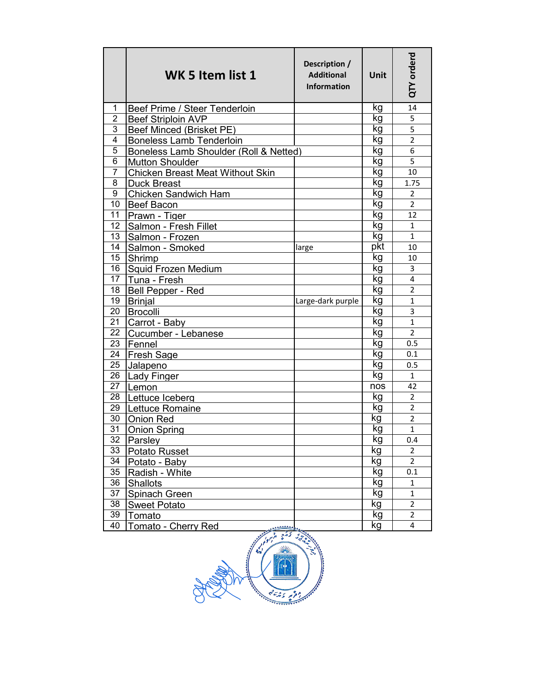|                | WK 5 Item list 1                        | Description /<br><b>Additional</b><br><b>Information</b> | <b>Unit</b> | QTY orderd     |
|----------------|-----------------------------------------|----------------------------------------------------------|-------------|----------------|
| 1              | Beef Prime / Steer Tenderloin           |                                                          | kg          | 14             |
| $\overline{2}$ | <b>Beef Striploin AVP</b>               |                                                          | kg          | 5              |
| 3              | Beef Minced (Brisket PE)                |                                                          | kg          | 5              |
| 4              | <b>Boneless Lamb Tenderloin</b>         |                                                          | kg          | $\overline{2}$ |
| 5              | Boneless Lamb Shoulder (Roll & Netted)  |                                                          | kg          | 6              |
| 6              | <b>Mutton Shoulder</b>                  |                                                          | kg          | 5              |
| 7              | <b>Chicken Breast Meat Without Skin</b> |                                                          | kg          | 10             |
| 8              | <b>Duck Breast</b>                      |                                                          | kg          | 1.75           |
| 9              | Chicken Sandwich Ham                    |                                                          | kg          | $\overline{2}$ |
| 10             | <b>Beef Bacon</b>                       |                                                          | kg          | $\overline{2}$ |
| 11             | Prawn - Tiger                           |                                                          | kg          | 12             |
| 12             | Salmon - Fresh Fillet                   |                                                          | kg          | $\mathbf{1}$   |
| 13             | Salmon - Frozen                         |                                                          | kg          | $\mathbf{1}$   |
| 14             | Salmon - Smoked                         | large                                                    | pkt         | 10             |
| 15             | Shrimp                                  |                                                          | kg          | 10             |
| 16             | <b>Squid Frozen Medium</b>              |                                                          | kg          | 3              |
| 17             | Tuna - Fresh                            |                                                          | kg          | 4              |
| 18             | Bell Pepper - Red                       |                                                          | kg          | $\overline{2}$ |
| 19             | <b>Brinjal</b>                          | Large-dark purple                                        | kg          | $\mathbf{1}$   |
| 20             | <b>Brocolli</b>                         |                                                          | kg          | 3              |
| 21             | Carrot - Baby                           |                                                          | kg          | $\mathbf{1}$   |
| 22             | Cucumber - Lebanese                     |                                                          | kg          | $\overline{2}$ |
| 23             | Fennel                                  |                                                          | kg          | 0.5            |
| 24             | Fresh Sage                              |                                                          | kg          | 0.1            |
| 25             | Jalapeno                                |                                                          | kg          | 0.5            |
| 26             | <b>Lady Finger</b>                      |                                                          | kg          | $\mathbf{1}$   |
| 27             | Lemon                                   |                                                          | nos         | 42             |
| 28             | Lettuce Iceberg                         |                                                          | kg          | $\overline{2}$ |
| 29             | Lettuce Romaine                         |                                                          | kg          | $\overline{2}$ |
| 30             | Onion Red                               |                                                          | kg          | $\overline{2}$ |
| 31             | <b>Onion Spring</b>                     |                                                          | kg          | $\mathbf{1}$   |
| 32             | Parsley                                 |                                                          | kg          | 0.4            |
| 33             | Potato Russet                           |                                                          | kg          | 2              |
| 34             | Potato - Baby                           |                                                          | kg          | $\overline{2}$ |
| 35             | Radish - White                          |                                                          | kg          | 0.1            |
| 36             | <b>Shallots</b>                         |                                                          | kg          | $\mathbf{1}$   |
| 37             | Spinach Green                           |                                                          | kg          | $\mathbf{1}$   |
| 38             | <b>Sweet Potato</b>                     |                                                          | kg          | $\overline{2}$ |
| 39             | Tomato                                  |                                                          | kg          | $\overline{2}$ |
| 40             | Tomato - Cherry Red<br>معمممم           |                                                          | kg          | 4              |